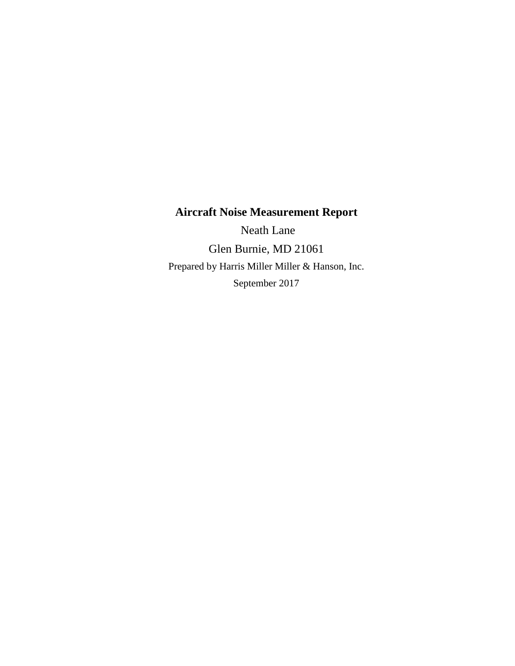### **Aircraft Noise Measurement Report**

 Neath Lane Glen Burnie, MD 21061 Prepared by Harris Miller Miller & Hanson, Inc. September 2017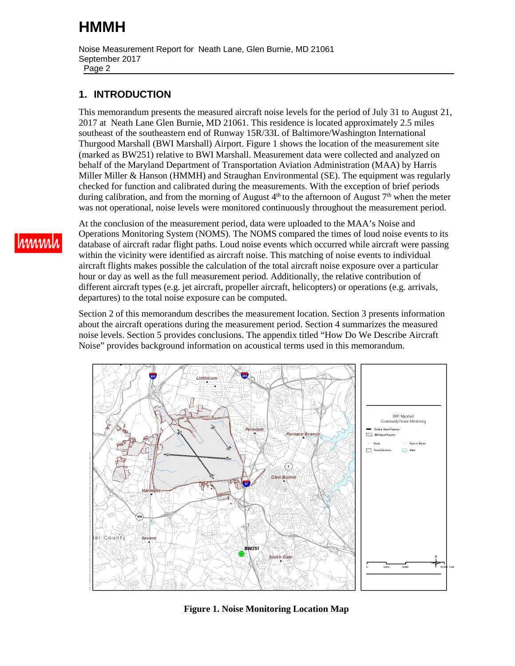Noise Measurement Report for Neath Lane, Glen Burnie, MD 21061 September 2017 Page 2

#### **1. INTRODUCTION**

This memorandum presents the measured aircraft noise levels for the period of July 31 to August 21, 2017 at Neath Lane Glen Burnie, MD 21061. This residence is located approximately 2.5 miles southeast of the southeastern end of Runway 15R/33L of Baltimore/Washington International Thurgood Marshall (BWI Marshall) Airport. [Figure 1](#page-1-0) shows the location of the measurement site (marked as BW251) relative to BWI Marshall. Measurement data were collected and analyzed on behalf of the Maryland Department of Transportation Aviation Administration (MAA) by Harris Miller Miller & Hanson (HMMH) and Straughan Environmental (SE). The equipment was regularly checked for function and calibrated during the measurements. With the exception of brief periods during calibration, and from the morning of August  $4<sup>th</sup>$  to the afternoon of August  $7<sup>th</sup>$  when the meter was not operational, noise levels were monitored continuously throughout the measurement period.

At the conclusion of the measurement period, data were uploaded to the MAA's Noise and Operations Monitoring System (NOMS). The NOMS compared the times of loud noise events to its database of aircraft radar flight paths. Loud noise events which occurred while aircraft were passing within the vicinity were identified as aircraft noise. This matching of noise events to individual aircraft flights makes possible the calculation of the total aircraft noise exposure over a particular hour or day as well as the full measurement period. Additionally, the relative contribution of different aircraft types (e.g. jet aircraft, propeller aircraft, helicopters) or operations (e.g. arrivals, departures) to the total noise exposure can be computed.

[Section 2 of this memorandum describes the measurement location. Section 3 presents information](#page-6-0) [about the aircraft operations during the measurement period. Section 4 summarizes the measured](#page-6-0) [noise levels. Section 5 provides conclusions. The appendix titled "How Do We Describe Aircraft](#page-10-0) Noise" provides background information on acoustical terms used in this memorandum.

<span id="page-1-0"></span>

**Figure 1. Noise Monitoring Location Map**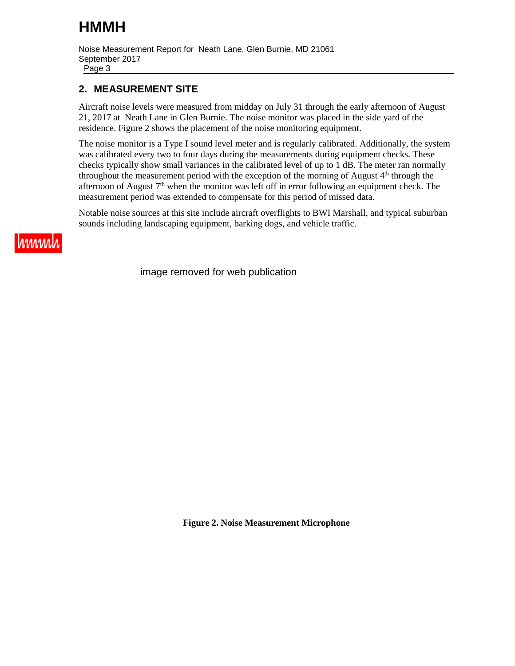Noise Measurement Report for Neath Lane, Glen Burnie, MD 21061 September 2017

Page 3

#### <span id="page-2-0"></span>**2. MEASUREMENT SITE**

Aircraft noise levels were measured from midday on July 31 through the early afternoon of August 21, 2017 at Neath Lane in Glen Burnie. The noise monitor was placed in the side yard of the residence. [Figure 2](#page-2-1) shows the placement of the noise monitoring equipment.

The noise monitor is a Type I sound level meter and is regularly calibrated. Additionally, the system was calibrated every two to four days during the measurements during equipment checks. These checks typically show small variances in the calibrated level of up to 1 dB. The meter ran normally throughout the measurement period with the exception of the morning of August  $4<sup>th</sup>$  through the afternoon of August  $7<sup>th</sup>$  when the monitor was left off in error following an equipment check. The measurement period was extended to compensate for this period of missed data.

Notable noise sources at this site include aircraft overflights to BWI Marshall, and typical suburban sounds including landscaping equipment, barking dogs, and vehicle traffic.



<span id="page-2-1"></span>image removed for web publication

**Figure 2. Noise Measurement Microphone**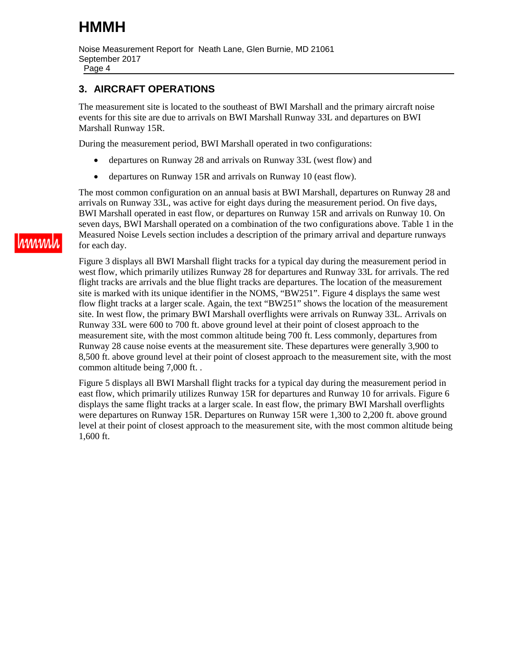Noise Measurement Report for Neath Lane, Glen Burnie, MD 21061 September 2017

Page 4

#### <span id="page-3-0"></span>**3. AIRCRAFT OPERATIONS**

The measurement site is located to the southeast of BWI Marshall and the primary aircraft noise events for this site are due to arrivals on BWI Marshall Runway 33L and departures on BWI Marshall Runway 15R.

During the measurement period, BWI Marshall operated in two configurations:

- departures on Runway 28 and arrivals on Runway 33L (west flow) and
- departures on Runway 15R and arrivals on Runway 10 (east flow).

The most common configuration on an annual basis at BWI Marshall, departures on Runway 28 and arrivals on Runway 33L, was active for eight days during the measurement period. On five days, [BWI Marshall operated in east flow, or departures on Runway 15R and arrivals on Runway 10. On](#page-9-0)  [seven days, BWI Marshall operated on a combination of the two configurations above. Table 1 in the](#page-9-0)  Measured Noise Levels section includes a description of the primary arrival and departure runways for each day.

[Figure 3](#page-4-0) displays all BWI Marshall flight tracks for a typical day during the measurement period in west flow, which primarily utilizes Runway 28 for departures and Runway 33L for arrivals. The red flight tracks are arrivals and the blue flight tracks are departures. The location of the measurement site is marked with its unique identifier in the NOMS, "BW251". [Figure 4](#page-4-1) displays the same west flow flight tracks at a larger scale. Again, the text "BW251" shows the location of the measurement site. In west flow, the primary BWI Marshall overflights were arrivals on Runway 33L. Arrivals on Runway 33L were 600 to 700 ft. above ground level at their point of closest approach to the measurement site, with the most common altitude being 700 ft. Less commonly, departures from Runway 28 cause noise events at the measurement site. These departures were generally 3,900 to 8,500 ft. above ground level at their point of closest approach to the measurement site, with the most common altitude being 7,000 ft. .

[Figure 5](#page-5-0) displays all BWI Marshall flight tracks for a typical day during the measurement period in east flow, which primarily utilizes Runway 15R for departures and Runway 10 for arrivals. [Figure 6](#page-5-1)  displays the same flight tracks at a larger scale. In east flow, the primary BWI Marshall overflights were departures on Runway 15R. Departures on Runway 15R were 1,300 to 2,200 ft. above ground level at their point of closest approach to the measurement site, with the most common altitude being 1,600 ft.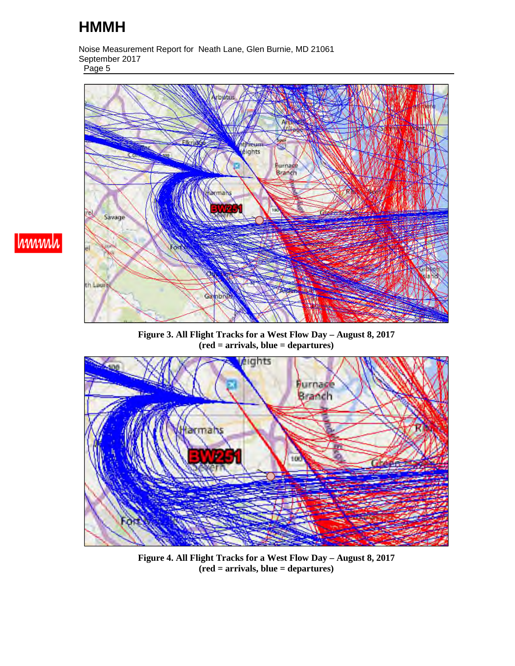Noise Measurement Report for Neath Lane, Glen Burnie, MD 21061 September 2017 Page 5



<span id="page-4-0"></span>**Figure 3. All Flight Tracks for a West Flow Day – August 8, 2017 (red = arrivals, blue = departures)** 

![](_page_4_Figure_4.jpeg)

<span id="page-4-1"></span>**Figure 4. All Flight Tracks for a West Flow Day – August 8, 2017 (red = arrivals, blue = departures)**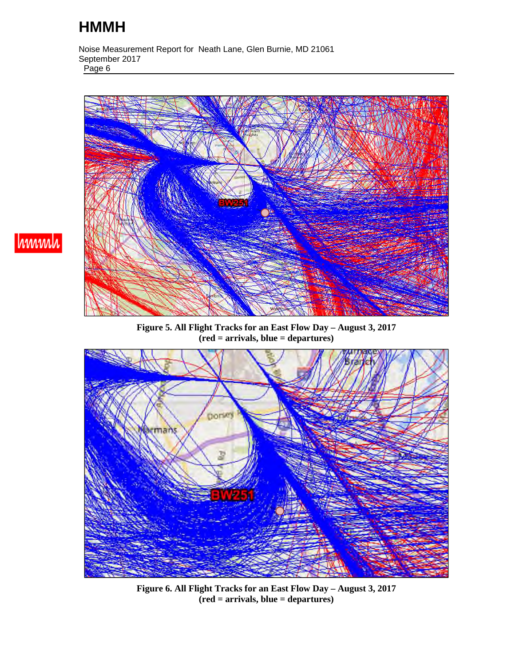Noise Measurement Report for Neath Lane, Glen Burnie, MD 21061 September 2017 Page 6

![](_page_5_Picture_2.jpeg)

**Figure 5. All Flight Tracks for an East Flow Day – August 3, 2017 (red = arrivals, blue = departures)** 

<span id="page-5-1"></span><span id="page-5-0"></span>![](_page_5_Picture_4.jpeg)

**Figure 6. All Flight Tracks for an East Flow Day – August 3, 2017 (red = arrivals, blue = departures)**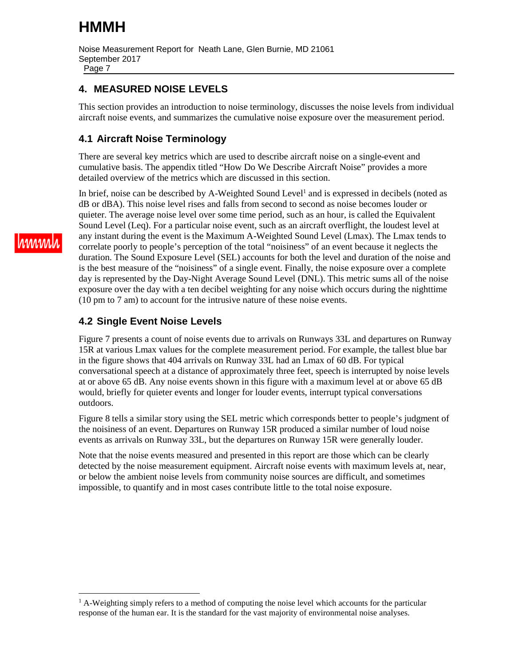Noise Measurement Report for Neath Lane, Glen Burnie, MD 21061 September 2017 Page 7

#### <span id="page-6-0"></span>**4. MEASURED NOISE LEVELS**

This section provides an introduction to noise terminology, discusses the noise levels from individual aircraft noise events, and summarizes the cumulative noise exposure over the measurement period.

#### **4.1 Aircraft Noise Terminology**

There are several key metrics which are used to describe aircraft noise on a single-event and cumulative basis. The appendix titled "How Do We Describe Aircraft Noise" provides a more detailed overview of the metrics which are discussed in this section.

In brief, noise can be described by A-Weighted Sound Level<sup>1</sup> [a](#page-6-1)nd is expressed in decibels (noted as dB or dBA). This noise level rises and falls from second to second as noise becomes louder or quieter. The average noise level over some time period, such as an hour, is called the Equivalent Sound Level (Leq). For a particular noise event, such as an aircraft overflight, the loudest level at any instant during the event is the Maximum A-Weighted Sound Level (Lmax). The Lmax tends to correlate poorly to people's perception of the total "noisiness" of an event because it neglects the duration. The Sound Exposure Level (SEL) accounts for both the level and duration of the noise and is the best measure of the "noisiness" of a single event. Finally, the noise exposure over a complete day is represented by the Day-Night Average Sound Level (DNL). This metric sums all of the noise exposure over the day with a ten decibel weighting for any noise which occurs during the nighttime (10 pm to 7 am) to account for the intrusive nature of these noise events.

#### **4.2 Single Event Noise Levels**

[Figure 7](#page-7-0) presents a count of noise events due to arrivals on Runways 33L and departures on Runway 15R at various Lmax values for the complete measurement period. For example, the tallest blue bar in the figure shows that 404 arrivals on Runway 33L had an Lmax of 60 dB. For typical conversational speech at a distance of approximately three feet, speech is interrupted by noise levels at or above 65 dB. Any noise events shown in this figure with a maximum level at or above 65 dB would, briefly for quieter events and longer for louder events, interrupt typical conversations outdoors.

[Figure 8](#page-7-1) tells a similar story using the SEL metric which corresponds better to people's judgment of the noisiness of an event. Departures on Runway 15R produced a similar number of loud noise events as arrivals on Runway 33L, but the departures on Runway 15R were generally louder.

Note that the noise events measured and presented in this report are those which can be clearly detected by the noise measurement equipment. Aircraft noise events with maximum levels at, near, or below the ambient noise levels from community noise sources are difficult, and sometimes impossible, to quantify and in most cases contribute little to the total noise exposure.

<span id="page-6-1"></span><sup>&</sup>lt;sup>1</sup> A-Weighting simply refers to a method of computing the noise level which accounts for the particular response of the human ear. It is the standard for the vast majority of environmental noise analyses.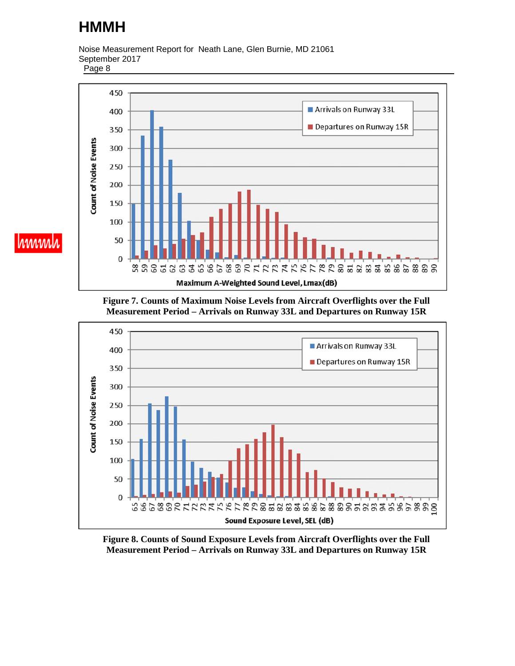Noise Measurement Report for Neath Lane, Glen Burnie, MD 21061 September 2017

Page 8

hmmh

<span id="page-7-0"></span>![](_page_7_Figure_3.jpeg)

**Figure 7. Counts of Maximum Noise Levels from Aircraft Overflights over the Full Measurement Period – Arrivals on Runway 33L and Departures on Runway 15R** 

<span id="page-7-1"></span>![](_page_7_Figure_5.jpeg)

**Figure 8. Counts of Sound Exposure Levels from Aircraft Overflights over the Full Measurement Period – Arrivals on Runway 33L and Departures on Runway 15R**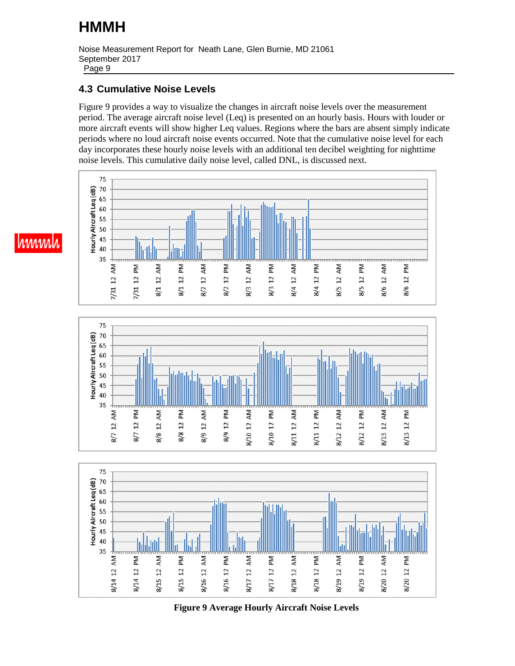Noise Measurement Report for Neath Lane, Glen Burnie, MD 21061 September 2017 Page 9

#### **4.3 Cumulative Noise Levels**

[Figure 9](#page-8-0) provides a way to visualize the changes in aircraft noise levels over the measurement period. The average aircraft noise level (Leq) is presented on an hourly basis. Hours with louder or more aircraft events will show higher Leq values. Regions where the bars are absent simply indicate periods where no loud aircraft noise events occurred. Note that the cumulative noise level for each day incorporates these hourly noise levels with an additional ten decibel weighting for nighttime noise levels. This cumulative daily noise level, called DNL, is discussed next.

![](_page_8_Figure_4.jpeg)

![](_page_8_Figure_5.jpeg)

<span id="page-8-0"></span>![](_page_8_Figure_6.jpeg)

**Figure 9 Average Hourly Aircraft Noise Levels** 

# hmml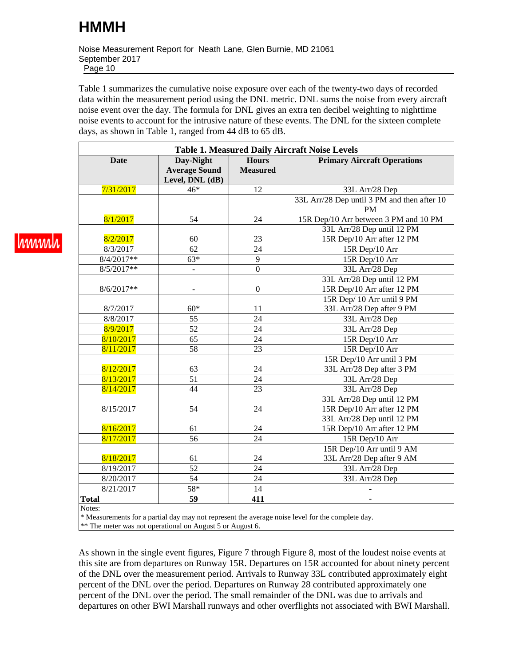Noise Measurement Report for Neath Lane, Glen Burnie, MD 21061 September 2017 Page 10

[Table 1](#page-9-1) summarizes the cumulative noise exposure over each of the twenty-two days of recorded data within the measurement period using the DNL metric. DNL sums the noise from every aircraft noise event over the day. The formula for DNL gives an extra ten decibel weighting to nighttime noise events to account for the intrusive nature of these events. The DNL for the sixteen complete days, as shown in Table 1, ranged from 44 dB to 65 dB.

<span id="page-9-1"></span><span id="page-9-0"></span>

| <b>Table 1. Measured Daily Aircraft Noise Levels</b> |                                                      |                                 |                                                                                                 |
|------------------------------------------------------|------------------------------------------------------|---------------------------------|-------------------------------------------------------------------------------------------------|
| <b>Date</b>                                          | Day-Night<br><b>Average Sound</b><br>Level, DNL (dB) | <b>Hours</b><br><b>Measured</b> | <b>Primary Aircraft Operations</b>                                                              |
| 7/31/2017                                            | $46*$                                                | 12                              | 33L Arr/28 Dep                                                                                  |
|                                                      |                                                      |                                 | 33L Arr/28 Dep until 3 PM and then after 10<br><b>PM</b>                                        |
| 8/1/2017                                             | 54                                                   | 24                              | 15R Dep/10 Arr between 3 PM and 10 PM                                                           |
|                                                      |                                                      |                                 | 33L Arr/28 Dep until 12 PM                                                                      |
| 8/2/2017                                             | 60                                                   | 23                              | 15R Dep/10 Arr after 12 PM                                                                      |
| 8/3/2017                                             | 62                                                   | 24                              | 15R Dep/10 Arr                                                                                  |
| $8/4/2017**$                                         | $63*$                                                | $\overline{9}$                  | 15R Dep/10 Arr                                                                                  |
| $8/5/2017**$                                         |                                                      | $\boldsymbol{0}$                | 33L Arr/28 Dep                                                                                  |
|                                                      |                                                      |                                 | 33L Arr/28 Dep until 12 PM                                                                      |
| 8/6/2017**                                           |                                                      | $\boldsymbol{0}$                | 15R Dep/10 Arr after 12 PM                                                                      |
|                                                      |                                                      |                                 | 15R Dep/ 10 Arr until 9 PM                                                                      |
| 8/7/2017                                             | $60*$                                                | 11                              | 33L Arr/28 Dep after 9 PM                                                                       |
| 8/8/2017                                             | 55                                                   | 24                              | 33L Arr/28 Dep                                                                                  |
| 8/9/2017                                             | 52                                                   | $\overline{24}$                 | 33L Arr/28 Dep                                                                                  |
| 8/10/2017                                            | 65                                                   | 24                              | 15R Dep/10 Arr                                                                                  |
| 8/11/2017                                            | 58                                                   | 23                              | 15R Dep/10 Arr                                                                                  |
|                                                      |                                                      |                                 | 15R Dep/10 Arr until 3 PM                                                                       |
| 8/12/2017                                            | 63                                                   | 24                              | 33L Arr/28 Dep after 3 PM                                                                       |
| 8/13/2017                                            | 51                                                   | $\overline{24}$                 | 33L Arr/28 Dep                                                                                  |
| 8/14/2017                                            | 44                                                   | 23                              | 33L Arr/28 Dep                                                                                  |
| 8/15/2017                                            | 54                                                   | $24\,$                          | 33L Arr/28 Dep until 12 PM<br>15R Dep/10 Arr after 12 PM                                        |
|                                                      |                                                      |                                 | 33L Arr/28 Dep until 12 PM                                                                      |
| 8/16/2017                                            | 61                                                   | 24                              | 15R Dep/10 Arr after 12 PM                                                                      |
| 8/17/2017                                            | 56                                                   | $\overline{24}$                 | 15R Dep/10 Arr                                                                                  |
|                                                      |                                                      |                                 | 15R Dep/10 Arr until 9 AM                                                                       |
| 8/18/2017                                            | 61                                                   | 24                              | 33L Arr/28 Dep after 9 AM                                                                       |
| 8/19/2017                                            | $\overline{52}$                                      | $\overline{24}$                 | 33L Arr/28 Dep                                                                                  |
| 8/20/2017                                            | $\overline{54}$                                      | $\overline{24}$                 | 33L Arr/28 Dep                                                                                  |
| 8/21/2017                                            | $58*$                                                | $\overline{14}$                 |                                                                                                 |
| <b>Total</b>                                         | 59                                                   | 411                             |                                                                                                 |
| Notes:                                               |                                                      |                                 | * Measurements for a partial day may not represent the average noise level for the complete day |

ements for a partial day may not represent the average noise

\*\* The meter was not operational on August 5 or August 6.

As shown in the single event figures, [Figure 7](#page-7-0) through [Figure 8,](#page-7-1) most of the loudest noise events at this site are from departures on Runway 15R. Departures on 15R accounted for about ninety percent of the DNL over the measurement period. Arrivals to Runway 33L contributed approximately eight percent of the DNL over the period. Departures on Runway 28 contributed approximately one percent of the DNL over the period. The small remainder of the DNL was due to arrivals and departures on other BWI Marshall runways and other overflights not associated with BWI Marshall.

<u>Iuwwh</u>